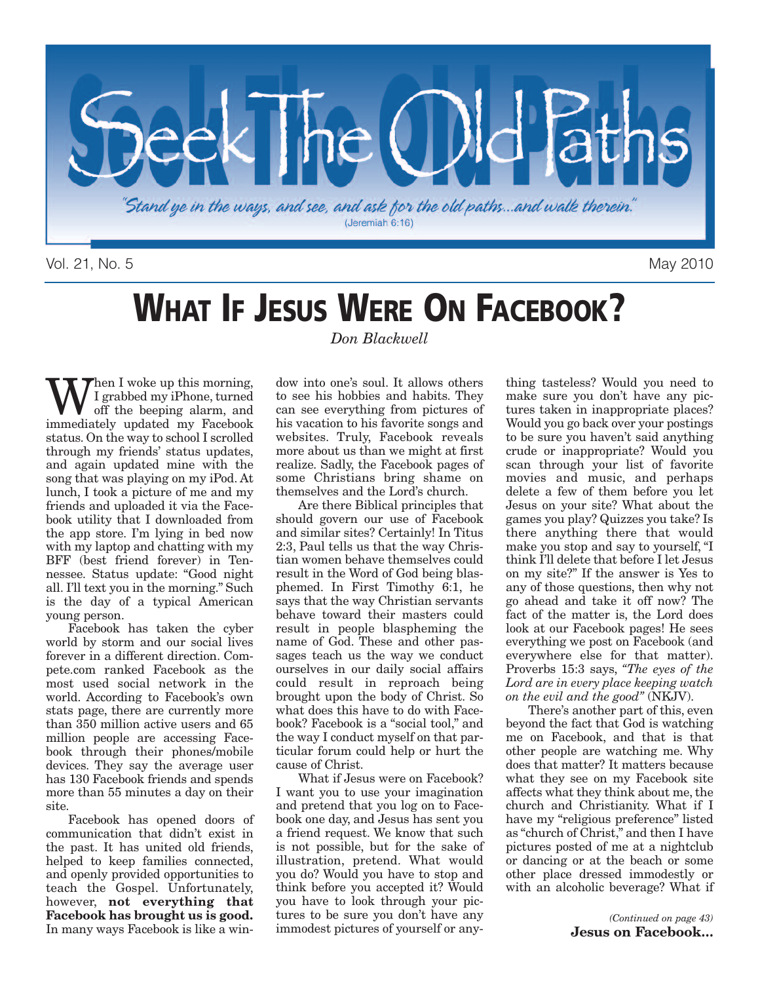

Vol. 21, No. 5 May 2010

# **WHAT IF JESUS WERE ON FACEBOOK?**

**W** I grabbed my iPhone, turned<br>off the beeping alarm, and<br>immediately updated my Facebook I grabbed my iPhone, turned off the beeping alarm, and status. On the way to school I scrolled through my friends' status updates, and again updated mine with the song that was playing on my iPod. At lunch, I took a picture of me and my friends and uploaded it via the Facebook utility that I downloaded from the app store. I'm lying in bed now with my laptop and chatting with my BFF (best friend forever) in Tennessee. Status update: "Good night all. I'll text you in the morning." Such is the day of a typical American young person.

Facebook has taken the cyber world by storm and our social lives forever in a different direction. Compete.com ranked Facebook as the most used social network in the world. According to Facebook's own stats page, there are currently more than 350 million active users and 65 million people are accessing Facebook through their phones/mobile devices. They say the average user has 130 Facebook friends and spends more than 55 minutes a day on their site.

Facebook has opened doors of communication that didn't exist in the past. It has united old friends, helped to keep families connected, and openly provided opportunities to teach the Gospel. Unfortunately, however, **not everything that Facebook has brought us is good.** In many ways Facebook is like a win*Don Blackwell*

dow into one's soul. It allows others to see his hobbies and habits. They can see everything from pictures of his vacation to his favorite songs and websites. Truly, Facebook reveals more about us than we might at first realize. Sadly, the Facebook pages of some Christians bring shame on themselves and the Lord's church.

Are there Biblical principles that should govern our use of Facebook and similar sites? Certainly! In Titus 2:3, Paul tells us that the way Christian women behave themselves could result in the Word of God being blasphemed. In First Timothy 6:1, he says that the way Christian servants behave toward their masters could result in people blaspheming the name of God. These and other passages teach us the way we conduct ourselves in our daily social affairs could result in reproach being brought upon the body of Christ. So what does this have to do with Facebook? Facebook is a "social tool," and the way I conduct myself on that particular forum could help or hurt the cause of Christ.

What if Jesus were on Facebook? I want you to use your imagination and pretend that you log on to Facebook one day, and Jesus has sent you a friend request. We know that such is not possible, but for the sake of illustration, pretend. What would you do? Would you have to stop and think before you accepted it? Would you have to look through your pictures to be sure you don't have any immodest pictures of yourself or any-

thing tasteless? Would you need to make sure you don't have any pictures taken in inappropriate places? Would you go back over your postings to be sure you haven't said anything crude or inappropriate? Would you scan through your list of favorite movies and music, and perhaps delete a few of them before you let Jesus on your site? What about the games you play? Quizzes you take? Is there anything there that would make you stop and say to yourself, "I think I'll delete that before I let Jesus on my site?" If the answer is Yes to any of those questions, then why not go ahead and take it off now? The fact of the matter is, the Lord does look at our Facebook pages! He sees everything we post on Facebook (and everywhere else for that matter). Proverbs 15:3 says, *"The eyes of the Lord are in every place keeping watch on the evil and the good"* (NKJV).

There's another part of this, even beyond the fact that God is watching me on Facebook, and that is that other people are watching me. Why does that matter? It matters because what they see on my Facebook site affects what they think about me, the church and Christianity. What if I have my "religious preference" listed as "church of Christ," and then I have pictures posted of me at a nightclub or dancing or at the beach or some other place dressed immodestly or with an alcoholic beverage? What if

> *(Continued on page 43)* **Jesus on Facebook…**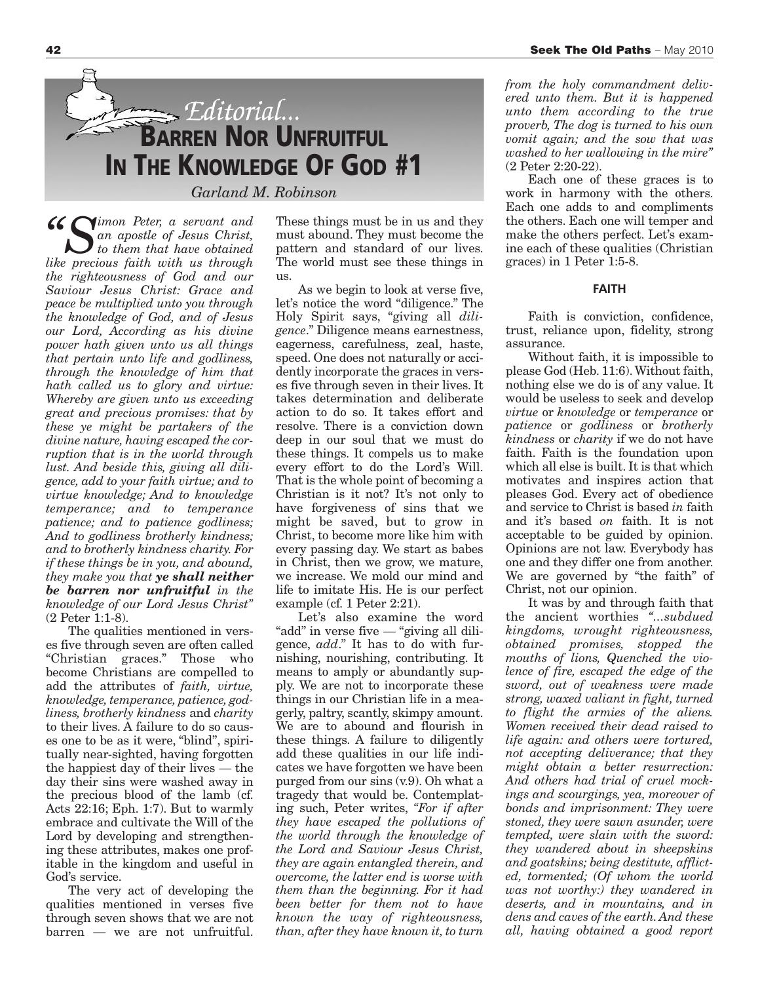

*"Simon Peter, <sup>a</sup> servant and an apostle of Jesus Christ, to them that have obtained like precious faith with us through the righteousness of God and our Saviour Jesus Christ: Grace and peace be multiplied unto you through the knowledge of God, and of Jesus our Lord, According as his divine power hath given unto us all things that pertain unto life and godliness, through the knowledge of him that hath called us to glory and virtue: Whereby are given unto us exceeding great and precious promises: that by these ye might be partakers of the divine nature, having escaped the corruption that is in the world through lust. And beside this, giving all diligence, add to your faith virtue; and to virtue knowledge; And to knowledge temperance; and to temperance patience; and to patience godliness; And to godliness brotherly kindness; and to brotherly kindness charity. For if these things be in you, and abound, they make you that ye shall neither be barren nor unfruitful in the knowledge of our Lord Jesus Christ"* (2 Peter 1:1-8).

The qualities mentioned in verses five through seven are often called "Christian graces." Those who become Christians are compelled to add the attributes of *faith, virtue, knowledge, temperance, patience, godliness, brotherly kindness* and *charity* to their lives. A failure to do so causes one to be as it were, "blind", spiritually near-sighted, having forgotten the happiest day of their lives — the day their sins were washed away in the precious blood of the lamb (cf. Acts 22:16; Eph. 1:7). But to warmly embrace and cultivate the Will of the Lord by developing and strengthening these attributes, makes one profitable in the kingdom and useful in God's service.

The very act of developing the qualities mentioned in verses five through seven shows that we are not barren — we are not unfruitful.

These things must be in us and they must abound. They must become the pattern and standard of our lives. The world must see these things in us.

As we begin to look at verse five, let's notice the word "diligence." The Holy Spirit says, "giving all *diligence*." Diligence means earnestness, eagerness, carefulness, zeal, haste, speed. One does not naturally or accidently incorporate the graces in verses five through seven in their lives. It takes determination and deliberate action to do so. It takes effort and resolve. There is a conviction down deep in our soul that we must do these things. It compels us to make every effort to do the Lord's Will. That is the whole point of becoming a Christian is it not? It's not only to have forgiveness of sins that we might be saved, but to grow in Christ, to become more like him with every passing day. We start as babes in Christ, then we grow, we mature, we increase. We mold our mind and life to imitate His. He is our perfect example (cf. 1 Peter 2:21).

Let's also examine the word "add" in verse five — "giving all diligence, *add*." It has to do with furnishing, nourishing, contributing. It means to amply or abundantly supply. We are not to incorporate these things in our Christian life in a meagerly, paltry, scantly, skimpy amount. We are to abound and flourish in these things. A failure to diligently add these qualities in our life indicates we have forgotten we have been purged from our sins (v.9). Oh what a tragedy that would be. Contemplating such, Peter writes, *"For if after they have escaped the pollutions of the world through the knowledge of the Lord and Saviour Jesus Christ, they are again entangled therein, and overcome, the latter end is worse with them than the beginning. For it had been better for them not to have known the way of righteousness, than, after they have known it, to turn*

*from the holy commandment delivered unto them. But it is happened unto them according to the true proverb, The dog is turned to his own vomit again; and the sow that was washed to her wallowing in the mire"* (2 Peter 2:20-22).

Each one of these graces is to work in harmony with the others. Each one adds to and compliments the others. Each one will temper and make the others perfect. Let's examine each of these qualities (Christian graces) in 1 Peter 1:5-8.

#### **FAITH**

Faith is conviction, confidence, trust, reliance upon, fidelity, strong assurance.

Without faith, it is impossible to please God (Heb. 11:6).Without faith, nothing else we do is of any value. It would be useless to seek and develop *virtue* or *knowledge* or *temperance* or *patience* or *godliness* or *brotherly kindness* or *charity* if we do not have faith. Faith is the foundation upon which all else is built. It is that which motivates and inspires action that pleases God. Every act of obedience and service to Christ is based *in* faith and it's based *on* faith. It is not acceptable to be guided by opinion. Opinions are not law. Everybody has one and they differ one from another. We are governed by "the faith" of Christ, not our opinion.

It was by and through faith that the ancient worthies *"...subdued kingdoms, wrought righteousness, obtained promises, stopped the mouths of lions, Quenched the violence of fire, escaped the edge of the sword, out of weakness were made strong, waxed valiant in fight, turned to flight the armies of the aliens. Women received their dead raised to life again: and others were tortured, not accepting deliverance; that they might obtain a better resurrection: And others had trial of cruel mockings and scourgings, yea, moreover of bonds and imprisonment: They were stoned, they were sawn asunder, were tempted, were slain with the sword: they wandered about in sheepskins and goatskins; being destitute, afflicted, tormented; (Of whom the world was not worthy:) they wandered in deserts, and in mountains, and in dens and caves of the earth. And these all, having obtained a good report*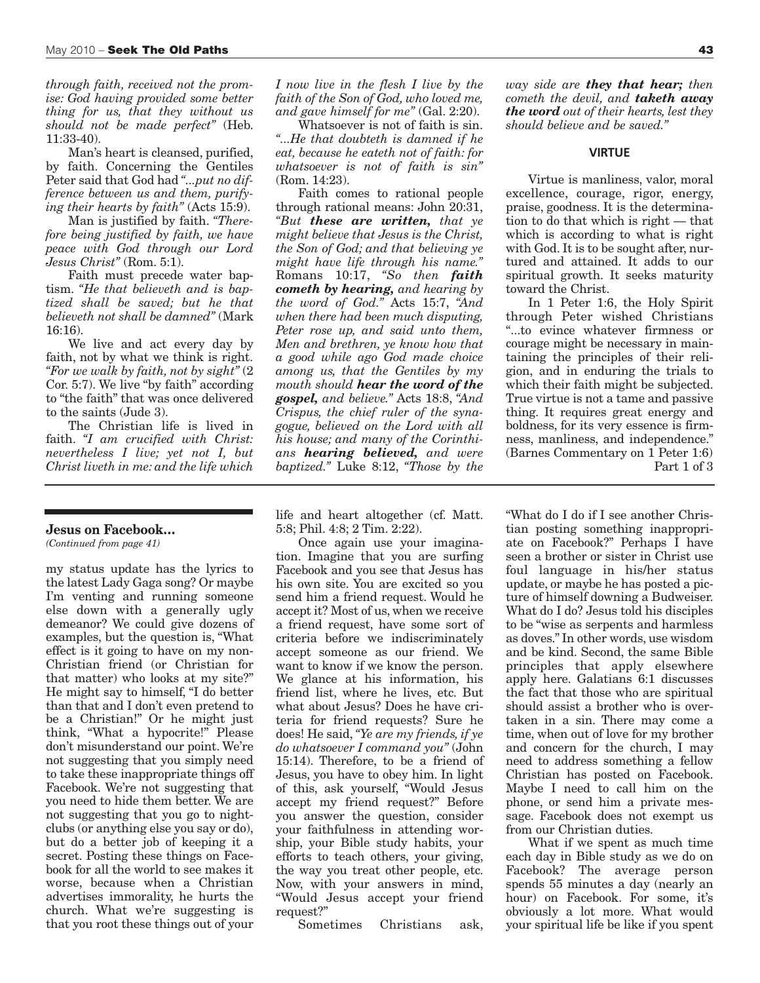*through faith, received not the promise: God having provided some better thing for us, that they without us should not be made perfect"* (Heb. 11:33-40).

Man's heart is cleansed, purified, by faith. Concerning the Gentiles Peter said that God had *"...put no difference between us and them, purifying their hearts by faith"* (Acts 15:9).

Man is justified by faith. *"Therefore being justified by faith, we have peace with God through our Lord Jesus Christ"* (Rom. 5:1).

Faith must precede water baptism. *"He that believeth and is baptized shall be saved; but he that believeth not shall be damned"* (Mark 16:16).

We live and act every day by faith, not by what we think is right. *"For we walk by faith, not by sight"* (2 Cor. 5:7). We live "by faith" according to "the faith" that was once delivered to the saints (Jude 3).

The Christian life is lived in faith. *"I am crucified with Christ: nevertheless I live; yet not I, but Christ liveth in me: and the life which*

#### **Jesus on Facebook…**

*(Continued from page 41)*

my status update has the lyrics to the latest Lady Gaga song? Or maybe I'm venting and running someone else down with a generally ugly demeanor? We could give dozens of examples, but the question is, "What effect is it going to have on my non-Christian friend (or Christian for that matter) who looks at my site?" He might say to himself, "I do better than that and I don't even pretend to be a Christian!" Or he might just think, "What a hypocrite!" Please don't misunderstand our point. We're not suggesting that you simply need to take these inappropriate things off Facebook. We're not suggesting that you need to hide them better. We are not suggesting that you go to nightclubs (or anything else you say or do), but do a better job of keeping it a secret. Posting these things on Facebook for all the world to see makes it worse, because when a Christian advertises immorality, he hurts the church. What we're suggesting is that you root these things out of your

*I now live in the flesh I live by the faith of the Son of God, who loved me, and gave himself for me"* (Gal. 2:20).

Whatsoever is not of faith is sin. *"...He that doubteth is damned if he eat, because he eateth not of faith: for whatsoever is not of faith is sin"* (Rom. 14:23).

Faith comes to rational people through rational means: John 20:31, *"But these are written, that ye might believe that Jesus is the Christ, the Son of God; and that believing ye might have life through his name."* Romans 10:17, *"So then faith cometh by hearing, and hearing by the word of God."* Acts 15:7, *"And when there had been much disputing, Peter rose up, and said unto them, Men and brethren, ye know how that a good while ago God made choice among us, that the Gentiles by my mouth should hear the word of the gospel, and believe."* Acts 18:8, *"And Crispus, the chief ruler of the synagogue, believed on the Lord with all his house; and many of the Corinthians hearing believed, and were baptized."* Luke 8:12, *"Those by the*

life and heart altogether (cf. Matt. 5:8; Phil. 4:8; 2 Tim. 2:22).

Once again use your imagination. Imagine that you are surfing Facebook and you see that Jesus has his own site. You are excited so you send him a friend request. Would he accept it? Most of us, when we receive a friend request, have some sort of criteria before we indiscriminately accept someone as our friend. We want to know if we know the person. We glance at his information, his friend list, where he lives, etc. But what about Jesus? Does he have criteria for friend requests? Sure he does! He said, *"Ye are my friends, if ye do whatsoever I command you"* (John 15:14). Therefore, to be a friend of Jesus, you have to obey him. In light of this, ask yourself, "Would Jesus accept my friend request?" Before you answer the question, consider your faithfulness in attending worship, your Bible study habits, your efforts to teach others, your giving, the way you treat other people, etc. Now, with your answers in mind, "Would Jesus accept your friend request?"

Sometimes Christians ask,

*way side are they that hear; then cometh the devil, and taketh away the word out of their hearts, lest they should believe and be saved."*

#### **VIRTUE**

Virtue is manliness, valor, moral excellence, courage, rigor, energy, praise, goodness. It is the determination to do that which is right — that which is according to what is right with God. It is to be sought after, nurtured and attained. It adds to our spiritual growth. It seeks maturity toward the Christ.

In 1 Peter 1:6, the Holy Spirit through Peter wished Christians "...to evince whatever firmness or courage might be necessary in maintaining the principles of their religion, and in enduring the trials to which their faith might be subjected. True virtue is not a tame and passive thing. It requires great energy and boldness, for its very essence is firmness, manliness, and independence." (Barnes Commentary on 1 Peter 1:6) Part 1 of 3

"What do I do if I see another Christian posting something inappropriate on Facebook?" Perhaps I have seen a brother or sister in Christ use foul language in his/her status update, or maybe he has posted a picture of himself downing a Budweiser. What do I do? Jesus told his disciples to be "wise as serpents and harmless as doves." In other words, use wisdom and be kind. Second, the same Bible principles that apply elsewhere apply here. Galatians 6:1 discusses the fact that those who are spiritual should assist a brother who is overtaken in a sin. There may come a time, when out of love for my brother and concern for the church, I may need to address something a fellow Christian has posted on Facebook. Maybe I need to call him on the phone, or send him a private message. Facebook does not exempt us from our Christian duties.

What if we spent as much time each day in Bible study as we do on Facebook? The average person spends 55 minutes a day (nearly an hour) on Facebook. For some, it's obviously a lot more. What would your spiritual life be like if you spent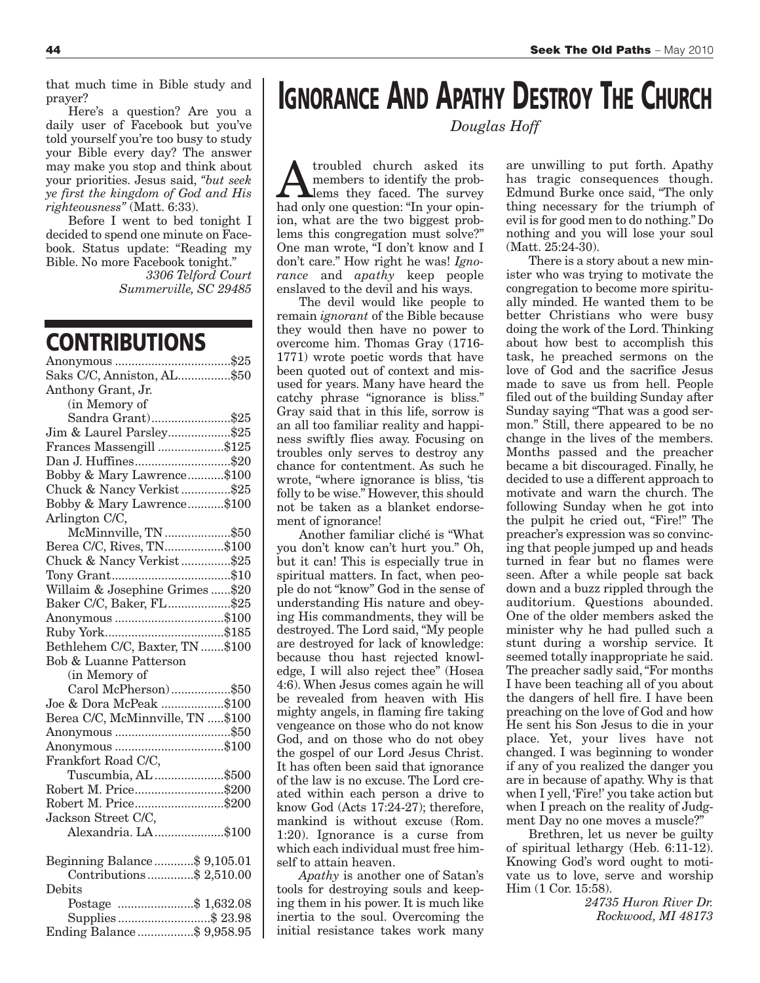that much time in Bible study and prayer?

Here's a question? Are you a daily user of Facebook but you've told yourself you're too busy to study your Bible every day? The answer may make you stop and think about your priorities. Jesus said, *"but seek ye first the kingdom of God and His righteousness"* (Matt. 6:33).

Before I went to bed tonight I decided to spend one minute on Facebook. Status update: "Reading my Bible. No more Facebook tonight."

*3306 Telford Court Summerville, SC 29485*

## **CONTRIBUTIONS**

| Saks C/C, Anniston, AL\$50                |
|-------------------------------------------|
| Anthony Grant, Jr.                        |
| (in Memory of                             |
| Sandra Grant)\$25                         |
| Jim & Laurel Parsley\$25                  |
| Frances Massengill \$125                  |
| Dan J. Huffines\$20                       |
| Bobby & Mary Lawrence\$100                |
| Chuck & Nancy Verkist\$25                 |
| Bobby & Mary Lawrence\$100                |
| Arlington C/C,                            |
| McMinnville, TN \$50                      |
| Berea C/C, Rives, TN\$100                 |
| Chuck & Nancy Verkist\$25                 |
|                                           |
| Willaim & Josephine Grimes  \$20          |
| Baker C/C, Baker, FL\$25                  |
| Anonymous \$100                           |
|                                           |
| Bethlehem C/C, Baxter, TN \$100           |
| Bob & Luanne Patterson                    |
| (in Memory of                             |
| Carol McPherson)\$50                      |
| Joe & Dora McPeak \$100                   |
| Berea C/C, McMinnville, TN \$100          |
|                                           |
| Anonymous \$100                           |
| Frankfort Road C/C,                       |
| Tuscumbia, AL \$500                       |
| Robert M. Price\$200                      |
| Robert M. Price\$200                      |
| Jackson Street C/C,                       |
| <u>2000 : 2000</u><br>Alexandria. LA\$100 |
| Beginning Balance\$ 9,105.01              |
| Contributions \$2,510.00                  |
| Debits                                    |
| Postage \$ 1,632.08                       |
| Supplies\$ 23.98                          |
| Ending Balance \$ 9,958.95                |

## **IGNORANCE AND APATHY DESTROY THE CHURCH**

*Douglas Hoff*

Atroubled church asked its<br>
lems they faced. The survey<br>
had only one question: "In your oninmembers to identify the probhad only one question: "In your opinion, what are the two biggest problems this congregation must solve?" One man wrote, "I don't know and I don't care." How right he was! *Ignorance* and *apathy* keep people enslaved to the devil and his ways.

The devil would like people to remain *ignorant* of the Bible because they would then have no power to overcome him. Thomas Gray (1716- 1771) wrote poetic words that have been quoted out of context and misused for years. Many have heard the catchy phrase "ignorance is bliss." Gray said that in this life, sorrow is an all too familiar reality and happiness swiftly flies away. Focusing on troubles only serves to destroy any chance for contentment. As such he wrote, "where ignorance is bliss, 'tis folly to be wise." However, this should not be taken as a blanket endorsement of ignorance!

Another familiar cliché is "What you don't know can't hurt you." Oh, but it can! This is especially true in spiritual matters. In fact, when people do not "know" God in the sense of understanding His nature and obeying His commandments, they will be destroyed. The Lord said, "My people are destroyed for lack of knowledge: because thou hast rejected knowledge, I will also reject thee" (Hosea 4:6). When Jesus comes again he will be revealed from heaven with His mighty angels, in flaming fire taking vengeance on those who do not know God, and on those who do not obey the gospel of our Lord Jesus Christ. It has often been said that ignorance of the law is no excuse. The Lord created within each person a drive to know God (Acts 17:24-27); therefore, mankind is without excuse (Rom. 1:20). Ignorance is a curse from which each individual must free himself to attain heaven.

*Apathy* is another one of Satan's tools for destroying souls and keeping them in his power. It is much like inertia to the soul. Overcoming the initial resistance takes work many

are unwilling to put forth. Apathy has tragic consequences though. Edmund Burke once said, "The only thing necessary for the triumph of evil is for good men to do nothing." Do nothing and you will lose your soul (Matt. 25:24-30).

There is a story about a new minister who was trying to motivate the congregation to become more spiritually minded. He wanted them to be better Christians who were busy doing the work of the Lord. Thinking about how best to accomplish this task, he preached sermons on the love of God and the sacrifice Jesus made to save us from hell. People filed out of the building Sunday after Sunday saying "That was a good sermon." Still, there appeared to be no change in the lives of the members. Months passed and the preacher became a bit discouraged. Finally, he decided to use a different approach to motivate and warn the church. The following Sunday when he got into the pulpit he cried out, "Fire!" The preacher's expression was so convincing that people jumped up and heads turned in fear but no flames were seen. After a while people sat back down and a buzz rippled through the auditorium. Questions abounded. One of the older members asked the minister why he had pulled such a stunt during a worship service. It seemed totally inappropriate he said. The preacher sadly said,"For months I have been teaching all of you about the dangers of hell fire. I have been preaching on the love of God and how He sent his Son Jesus to die in your place. Yet, your lives have not changed. I was beginning to wonder if any of you realized the danger you are in because of apathy. Why is that when I yell, 'Fire!' you take action but when I preach on the reality of Judgment Day no one moves a muscle?"

Brethren, let us never be guilty of spiritual lethargy (Heb. 6:11-12). Knowing God's word ought to motivate us to love, serve and worship Him (1 Cor. 15:58).

*24735 Huron River Dr. Rockwood, MI 48173*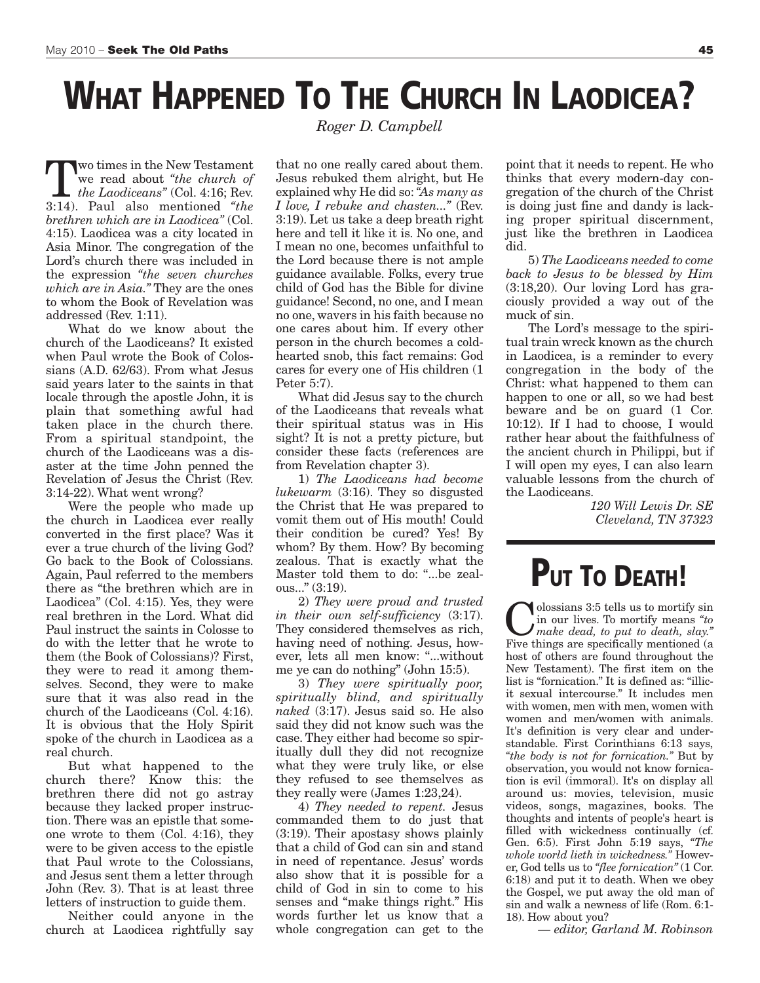# **WHAT HAPPENED TO THE CHURCH IN LAODICEA?**

Two times in the New Testament we read about *"the church of the Laodiceans"* (Col. 4:16; Rev. 3:14). Paul also mentioned *"the brethren which are in Laodicea"* (Col. 4:15). Laodicea was a city located in Asia Minor. The congregation of the Lord's church there was included in the expression *"the seven churches which are in Asia."* They are the ones to whom the Book of Revelation was addressed (Rev. 1:11).

What do we know about the church of the Laodiceans? It existed when Paul wrote the Book of Colossians (A.D. 62/63). From what Jesus said years later to the saints in that locale through the apostle John, it is plain that something awful had taken place in the church there. From a spiritual standpoint, the church of the Laodiceans was a disaster at the time John penned the Revelation of Jesus the Christ (Rev. 3:14-22). What went wrong?

Were the people who made up the church in Laodicea ever really converted in the first place? Was it ever a true church of the living God? Go back to the Book of Colossians. Again, Paul referred to the members there as "the brethren which are in Laodicea" (Col. 4:15). Yes, they were real brethren in the Lord. What did Paul instruct the saints in Colosse to do with the letter that he wrote to them (the Book of Colossians)? First, they were to read it among themselves. Second, they were to make sure that it was also read in the church of the Laodiceans (Col. 4:16). It is obvious that the Holy Spirit spoke of the church in Laodicea as a real church.

But what happened to the church there? Know this: the brethren there did not go astray because they lacked proper instruction. There was an epistle that someone wrote to them (Col. 4:16), they were to be given access to the epistle that Paul wrote to the Colossians, and Jesus sent them a letter through John (Rev. 3). That is at least three letters of instruction to guide them.

Neither could anyone in the church at Laodicea rightfully say

*Roger D. Campbell*

that no one really cared about them. Jesus rebuked them alright, but He explained why He did so:*"As many as I love, I rebuke and chasten..."* (Rev. 3:19). Let us take a deep breath right here and tell it like it is. No one, and I mean no one, becomes unfaithful to the Lord because there is not ample guidance available. Folks, every true child of God has the Bible for divine guidance! Second, no one, and I mean no one, wavers in his faith because no one cares about him. If every other person in the church becomes a coldhearted snob, this fact remains: God cares for every one of His children (1 Peter 5:7).

What did Jesus say to the church of the Laodiceans that reveals what their spiritual status was in His sight? It is not a pretty picture, but consider these facts (references are from Revelation chapter 3).

1) *The Laodiceans had become lukewarm* (3:16). They so disgusted the Christ that He was prepared to vomit them out of His mouth! Could their condition be cured? Yes! By whom? By them. How? By becoming zealous. That is exactly what the Master told them to do: "...be zealous..." (3:19).

2) *They were proud and trusted in their own self-sufficiency* (3:17). They considered themselves as rich, having need of nothing. Jesus, however, lets all men know: "...without me ye can do nothing" (John 15:5).

3) *They were spiritually poor, spiritually blind, and spiritually naked* (3:17). Jesus said so. He also said they did not know such was the case. They either had become so spiritually dull they did not recognize what they were truly like, or else they refused to see themselves as they really were (James 1:23,24).

4) *They needed to repent.* Jesus commanded them to do just that (3:19). Their apostasy shows plainly that a child of God can sin and stand in need of repentance. Jesus' words also show that it is possible for a child of God in sin to come to his senses and "make things right." His words further let us know that a whole congregation can get to the

point that it needs to repent. He who thinks that every modern-day congregation of the church of the Christ is doing just fine and dandy is lacking proper spiritual discernment, just like the brethren in Laodicea did.

5) *The Laodiceans needed to come back to Jesus to be blessed by Him* (3:18,20). Our loving Lord has graciously provided a way out of the muck of sin.

The Lord's message to the spiritual train wreck known as the church in Laodicea, is a reminder to every congregation in the body of the Christ: what happened to them can happen to one or all, so we had best beware and be on guard (1 Cor. 10:12). If I had to choose, I would rather hear about the faithfulness of the ancient church in Philippi, but if I will open my eyes, I can also learn valuable lessons from the church of the Laodiceans.

*120 Will Lewis Dr. SE Cleveland, TN 37323*

# **PUT TO DEATH!**

olossians 3:5 tells us to mortify sin in our lives. To mortify means *"to make dead, to put to death, slay."* Five things are specifically mentioned (a host of others are found throughout the New Testament). The first item on the list is "fornication." It is defined as: "illicit sexual intercourse." It includes men with women, men with men, women with women and men/women with animals. It's definition is very clear and understandable. First Corinthians 6:13 says, *"the body is not for fornication."* But by observation, you would not know fornication is evil (immoral). It's on display all around us: movies, television, music videos, songs, magazines, books. The thoughts and intents of people's heart is filled with wickedness continually (cf. Gen. 6:5). First John 5:19 says, *"The whole world lieth in wickedness."* However, God tells us to *"flee fornication"* (1 Cor. 6:18) and put it to death. When we obey the Gospel, we put away the old man of sin and walk a newness of life (Rom. 6:1- 18). How about you?

*— editor, Garland M. Robinson*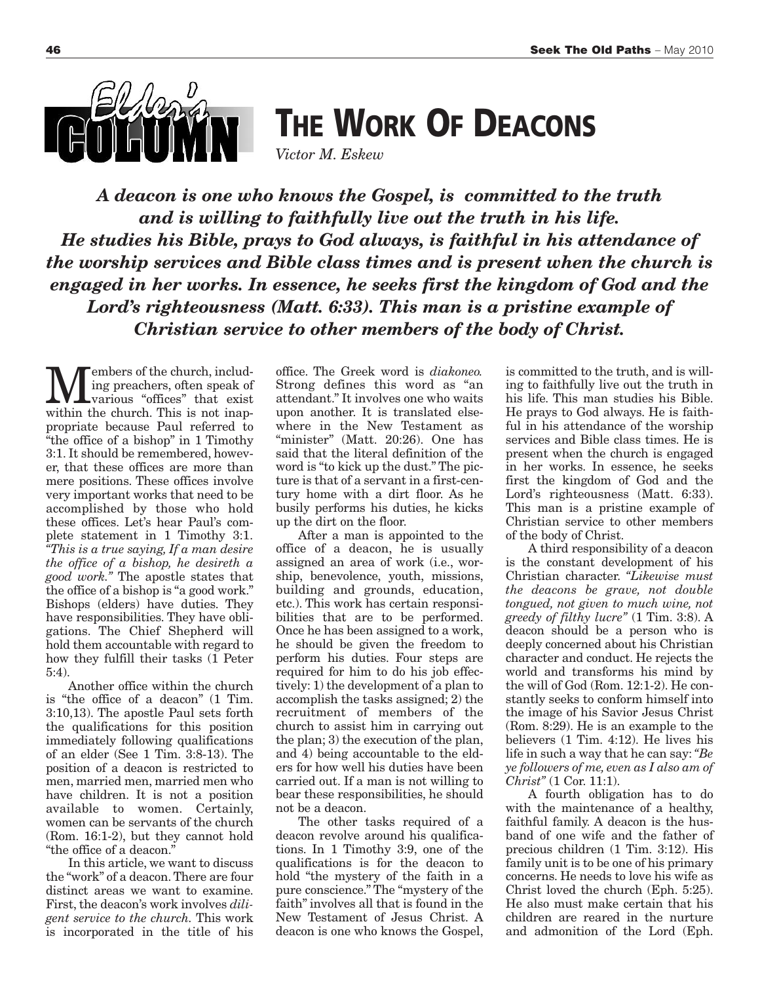

**THE WORK OF DEACONS**

*Victor M. Eskew*

*A deacon is one who knows the Gospel, is committed to the truth and is willing to faithfully live out the truth in his life. He studies his Bible, prays to God always, is faithful in his attendance of the worship services and Bible class times and is present when the church is engaged in her works. In essence, he seeks first the kingdom of God and the Lord's righteousness (Matt. 6:33). This man is a pristine example of Christian service to other members of the body of Christ.*

**M**embers of the church, includ-<br>various "offices" that exist<br>within the church This is not inaning preachers, often speak of within the church. This is not inappropriate because Paul referred to "the office of a bishop" in 1 Timothy 3:1. It should be remembered, however, that these offices are more than mere positions. These offices involve very important works that need to be accomplished by those who hold these offices. Let's hear Paul's complete statement in 1 Timothy 3:1. *"This is a true saying, If a man desire the office of a bishop, he desireth a good work."* The apostle states that the office of a bishop is "a good work." Bishops (elders) have duties. They have responsibilities. They have obligations. The Chief Shepherd will hold them accountable with regard to how they fulfill their tasks (1 Peter 5:4).

Another office within the church is "the office of a deacon" (1 Tim. 3:10,13). The apostle Paul sets forth the qualifications for this position immediately following qualifications of an elder (See 1 Tim. 3:8-13). The position of a deacon is restricted to men, married men, married men who have children. It is not a position available to women. Certainly, women can be servants of the church (Rom. 16:1-2), but they cannot hold "the office of a deacon."

In this article, we want to discuss the "work" of a deacon.There are four distinct areas we want to examine. First, the deacon's work involves *diligent service to the church.* This work is incorporated in the title of his

office. The Greek word is *diakoneo.* Strong defines this word as "an attendant." It involves one who waits upon another. It is translated elsewhere in the New Testament as "minister" (Matt. 20:26). One has said that the literal definition of the word is "to kick up the dust." The picture is that of a servant in a first-century home with a dirt floor. As he busily performs his duties, he kicks up the dirt on the floor.

After a man is appointed to the office of a deacon, he is usually assigned an area of work (i.e., worship, benevolence, youth, missions, building and grounds, education, etc.). This work has certain responsibilities that are to be performed. Once he has been assigned to a work, he should be given the freedom to perform his duties. Four steps are required for him to do his job effectively: 1) the development of a plan to accomplish the tasks assigned; 2) the recruitment of members of the church to assist him in carrying out the plan; 3) the execution of the plan, and 4) being accountable to the elders for how well his duties have been carried out. If a man is not willing to bear these responsibilities, he should not be a deacon.

The other tasks required of a deacon revolve around his qualifications. In 1 Timothy 3:9, one of the qualifications is for the deacon to hold "the mystery of the faith in a pure conscience." The "mystery of the faith" involves all that is found in the New Testament of Jesus Christ. A deacon is one who knows the Gospel,

is committed to the truth, and is willing to faithfully live out the truth in his life. This man studies his Bible. He prays to God always. He is faithful in his attendance of the worship services and Bible class times. He is present when the church is engaged in her works. In essence, he seeks first the kingdom of God and the Lord's righteousness (Matt. 6:33). This man is a pristine example of Christian service to other members of the body of Christ.

A third responsibility of a deacon is the constant development of his Christian character. *"Likewise must the deacons be grave, not double tongued, not given to much wine, not greedy of filthy lucre"* (1 Tim. 3:8). A deacon should be a person who is deeply concerned about his Christian character and conduct. He rejects the world and transforms his mind by the will of God (Rom. 12:1-2). He constantly seeks to conform himself into the image of his Savior Jesus Christ (Rom. 8:29). He is an example to the believers (1 Tim. 4:12). He lives his life in such a way that he can say:*"Be ye followers of me, even as I also am of Christ"* (1 Cor. 11:1).

A fourth obligation has to do with the maintenance of a healthy, faithful family. A deacon is the husband of one wife and the father of precious children (1 Tim. 3:12). His family unit is to be one of his primary concerns. He needs to love his wife as Christ loved the church (Eph. 5:25). He also must make certain that his children are reared in the nurture and admonition of the Lord (Eph.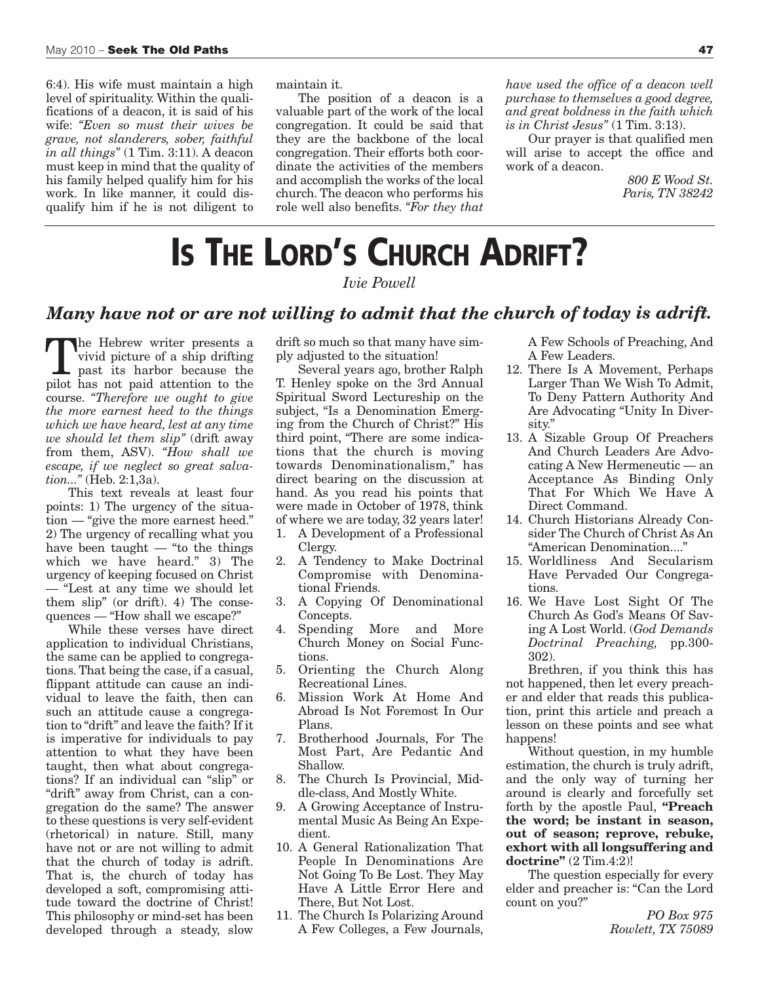6:4). His wife must maintain a high level of spirituality. Within the qualifications of a deacon, it is said of his wife: *"Even so must their wives be grave, not slanderers, sober, faithful in all things"* (1 Tim. 3:11). A deacon must keep in mind that the quality of his family helped qualify him for his work. In like manner, it could disqualify him if he is not diligent to maintain it.

The position of a deacon is a valuable part of the work of the local congregation. It could be said that they are the backbone of the local congregation. Their efforts both coordinate the activities of the members and accomplish the works of the local church. The deacon who performs his role well also benefits. *"For they that*

*have used the office of a deacon well purchase to themselves a good degree, and great boldness in the faith which is in Christ Jesus"* (1 Tim. 3:13).

Our prayer is that qualified men will arise to accept the office and work of a deacon.

> *800 E Wood St. Paris, TN 38242*

# **IS THE LORD'S CHURCH ADRIFT?**

*Ivie Powell*

#### *Many have not or are not willing to admit that the church of today is adrift.*

The Hebrew writer presents a vivid picture of a ship drifting past its harbor because the pilot has not paid attention to the course. *"Therefore we ought to give the more earnest heed to the things which we have heard, lest at any time we should let them slip"* (drift away from them, ASV). *"How shall we escape, if we neglect so great salvation..."* (Heb. 2:1,3a).

This text reveals at least four points: 1) The urgency of the situation — "give the more earnest heed." 2) The urgency of recalling what you have been taught  $-$  "to the things" which we have heard." 3) The urgency of keeping focused on Christ — "Lest at any time we should let them slip" (or drift). 4) The consequences — "How shall we escape?"

While these verses have direct application to individual Christians, the same can be applied to congregations. That being the case, if a casual, flippant attitude can cause an individual to leave the faith, then can such an attitude cause a congregation to "drift" and leave the faith? If it is imperative for individuals to pay attention to what they have been taught, then what about congregations? If an individual can "slip" or "drift" away from Christ, can a congregation do the same? The answer to these questions is very self-evident (rhetorical) in nature. Still, many have not or are not willing to admit that the church of today is adrift. That is, the church of today has developed a soft, compromising attitude toward the doctrine of Christ! This philosophy or mind-set has been developed through a steady, slow

drift so much so that many have simply adjusted to the situation!

Several years ago, brother Ralph T. Henley spoke on the 3rd Annual Spiritual Sword Lectureship on the subject, "Is a Denomination Emerging from the Church of Christ?" His third point, "There are some indications that the church is moving towards Denominationalism," has direct bearing on the discussion at hand. As you read his points that were made in October of 1978, think of where we are today, 32 years later!

- 1. A Development of a Professional Clergy.
- 2. A Tendency to Make Doctrinal Compromise with Denominational Friends.
- 3. A Copying Of Denominational Concepts.
- 4. Spending More and More Church Money on Social Functions.
- 5. Orienting the Church Along Recreational Lines.
- 6. Mission Work At Home And Abroad Is Not Foremost In Our Plans.
- 7. Brotherhood Journals, For The Most Part, Are Pedantic And Shallow.
- 8. The Church Is Provincial, Middle-class, And Mostly White.
- 9. A Growing Acceptance of Instrumental Music As Being An Expedient.
- 10. A General Rationalization That People In Denominations Are Not Going To Be Lost. They May Have A Little Error Here and There, But Not Lost.
- 11. The Church Is Polarizing Around A Few Colleges, a Few Journals,

A Few Schools of Preaching, And A Few Leaders.

- 12. There Is A Movement, Perhaps Larger Than We Wish To Admit, To Deny Pattern Authority And Are Advocating "Unity In Diversity."
- 13. A Sizable Group Of Preachers And Church Leaders Are Advocating A New Hermeneutic — an Acceptance As Binding Only That For Which We Have A Direct Command.
- 14. Church Historians Already Consider The Church of Christ As An "American Denomination...."
- 15. Worldliness And Secularism Have Pervaded Our Congregations.
- 16. We Have Lost Sight Of The Church As God's Means Of Saving A Lost World. (*God Demands Doctrinal Preaching,* pp.300- 302).

Brethren, if you think this has not happened, then let every preacher and elder that reads this publication, print this article and preach a lesson on these points and see what happens!

Without question, in my humble estimation, the church is truly adrift, and the only way of turning her around is clearly and forcefully set forth by the apostle Paul, **"Preach the word; be instant in season, out of season; reprove, rebuke, exhort with all longsuffering and doctrine"** (2 Tim.4:2)!

The question especially for every elder and preacher is: "Can the Lord count on you?"

> *PO Box 975 Rowlett, TX 75089*